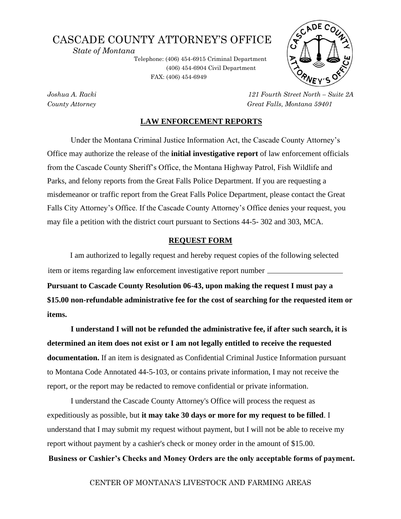# CASCADE COUNTY ATTORNEY'S OFFICE

 *State of Montana* 

Telephone: (406) 454-6915 Criminal Department (406) 454-6904 Civil Department FAX: (406) 454-6949 .



*Joshua A. Racki 121 Fourth Street North – Suite 2A County Attorney Great Falls, Montana 59401*

### **LAW ENFORCEMENT REPORTS**

Under the Montana Criminal Justice Information Act, the Cascade County Attorney's Office may authorize the release of the **initial investigative report** of law enforcement officials from the Cascade County Sheriff's Office, the Montana Highway Patrol, Fish Wildlife and Parks, and felony reports from the Great Falls Police Department. If you are requesting a misdemeanor or traffic report from the Great Falls Police Department, please contact the Great Falls City Attorney's Office. If the Cascade County Attorney's Office denies your request, you may file a petition with the district court pursuant to Sections 44-5- 302 and 303, MCA.

#### **REQUEST FORM**

I am authorized to legally request and hereby request copies of the following selected item or items regarding law enforcement investigative report number

**Pursuant to Cascade County Resolution 06-43, upon making the request I must pay a \$15.00 non-refundable administrative fee for the cost of searching for the requested item or items.** 

**I understand I will not be refunded the administrative fee, if after such search, it is determined an item does not exist or I am not legally entitled to receive the requested documentation.** If an item is designated as Confidential Criminal Justice Information pursuant to Montana Code Annotated 44-5-103, or contains private information, I may not receive the report, or the report may be redacted to remove confidential or private information.

I understand the Cascade County Attorney's Office will process the request as expeditiously as possible, but **it may take 30 days or more for my request to be filled**. I understand that I may submit my request without payment, but I will not be able to receive my report without payment by a cashier's check or money order in the amount of \$15.00.

**Business or Cashier's Checks and Money Orders are the only acceptable forms of payment.**

CENTER OF MONTANA'S LIVESTOCK AND FARMING AREAS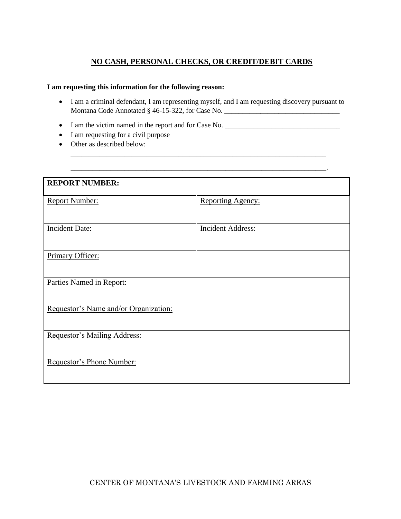# **NO CASH, PERSONAL CHECKS, OR CREDIT/DEBIT CARDS**

## **I am requesting this information for the following reason:**

• I am a criminal defendant, I am representing myself, and I am requesting discovery pursuant to Montana Code Annotated § 46-15-322, for Case No. \_\_\_\_\_\_\_\_\_\_\_\_\_\_\_\_\_\_\_\_\_\_\_\_\_\_\_\_\_\_\_\_

\_\_\_\_\_\_\_\_\_\_\_\_\_\_\_\_\_\_\_\_\_\_\_\_\_\_\_\_\_\_\_\_\_\_\_\_\_\_\_\_\_\_\_\_\_\_\_\_\_\_\_\_\_\_\_\_\_\_\_\_\_\_\_\_\_\_\_\_\_\_\_.

\_\_\_\_\_\_\_\_\_\_\_\_\_\_\_\_\_\_\_\_\_\_\_\_\_\_\_\_\_\_\_\_\_\_\_\_\_\_\_\_\_\_\_\_\_\_\_\_\_\_\_\_\_\_\_\_\_\_\_\_\_\_\_\_\_\_\_\_\_\_\_

- I am the victim named in the report and for Case No. \_\_\_\_\_\_\_\_\_\_\_\_\_\_\_\_\_\_\_\_\_\_\_\_\_\_\_\_\_\_\_\_
- I am requesting for a civil purpose
- Other as described below:

| <b>REPORT NUMBER:</b>                 |                          |  |
|---------------------------------------|--------------------------|--|
|                                       |                          |  |
| <b>Report Number:</b>                 | <b>Reporting Agency:</b> |  |
|                                       |                          |  |
|                                       |                          |  |
| <b>Incident Date:</b>                 | <b>Incident Address:</b> |  |
|                                       |                          |  |
|                                       |                          |  |
|                                       |                          |  |
| Primary Officer:                      |                          |  |
|                                       |                          |  |
|                                       |                          |  |
| Parties Named in Report:              |                          |  |
|                                       |                          |  |
|                                       |                          |  |
| Requestor's Name and/or Organization: |                          |  |
|                                       |                          |  |
|                                       |                          |  |
| Requestor's Mailing Address:          |                          |  |
|                                       |                          |  |
|                                       |                          |  |
| Requestor's Phone Number:             |                          |  |
|                                       |                          |  |
|                                       |                          |  |